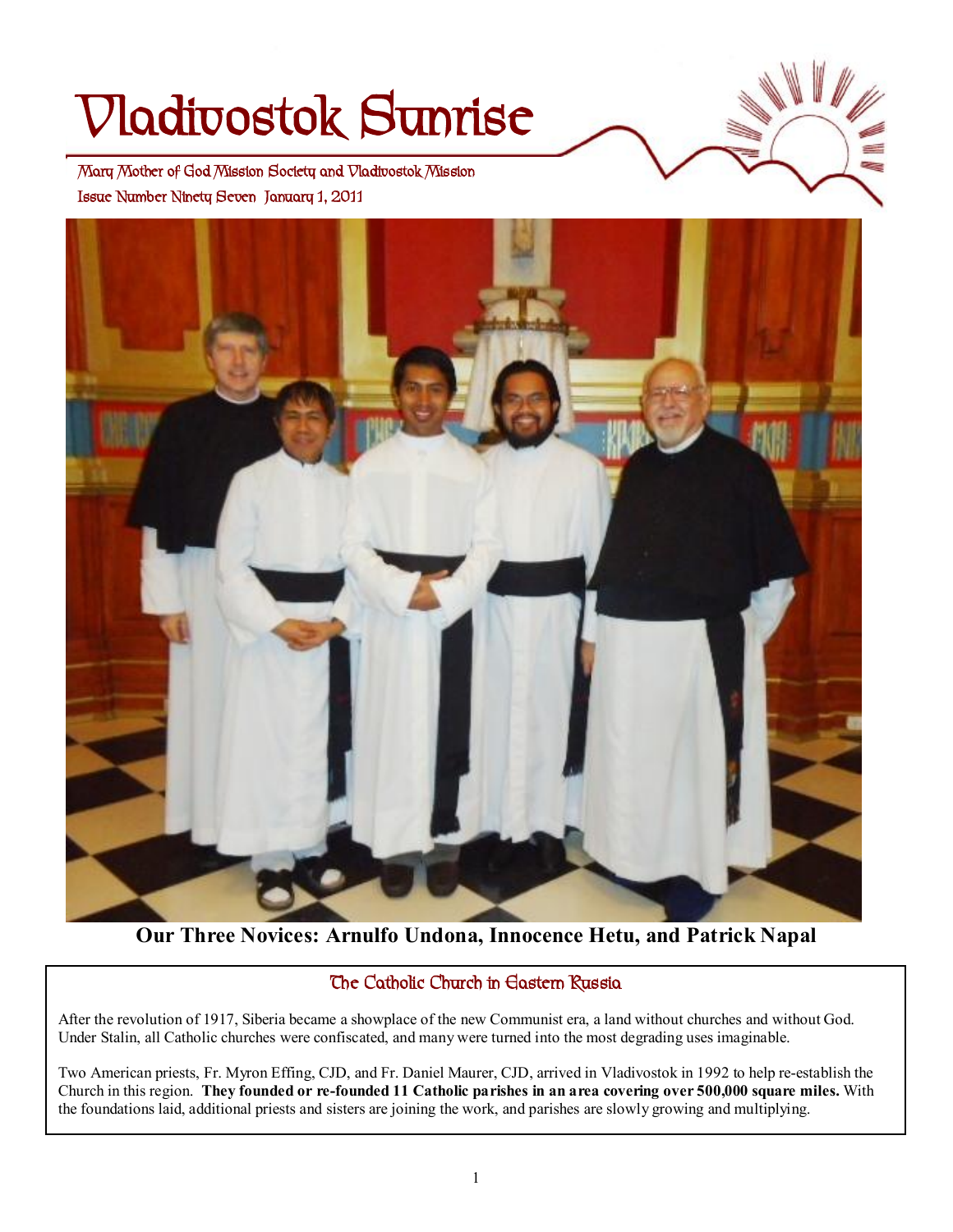# **Vladivostok Sunrise**

 **Issue Number Ninety Seven January 1, 2011 Mary Mother of God Mission Society and Vladivostok Mission** 



**Our Three Novices: Arnulfo Undona, Innocence Hetu, and Patrick Napal**

#### **The Catholic Church in Eastern Russia**

After the revolution of 1917, Siberia became a showplace of the new Communist era, a land without churches and without God. Under Stalin, all Catholic churches were confiscated, and many were turned into the most degrading uses imaginable.

Two American priests, Fr. Myron Effing, CJD, and Fr. Daniel Maurer, CJD, arrived in Vladivostok in 1992 to help re-establish the Church in this region. They founded or re-founded 11 Catholic parishes in an area covering over 500,000 square miles. With the foundations laid, additional priests and sisters are joining the work, and parishes are slowly growing and multiplying.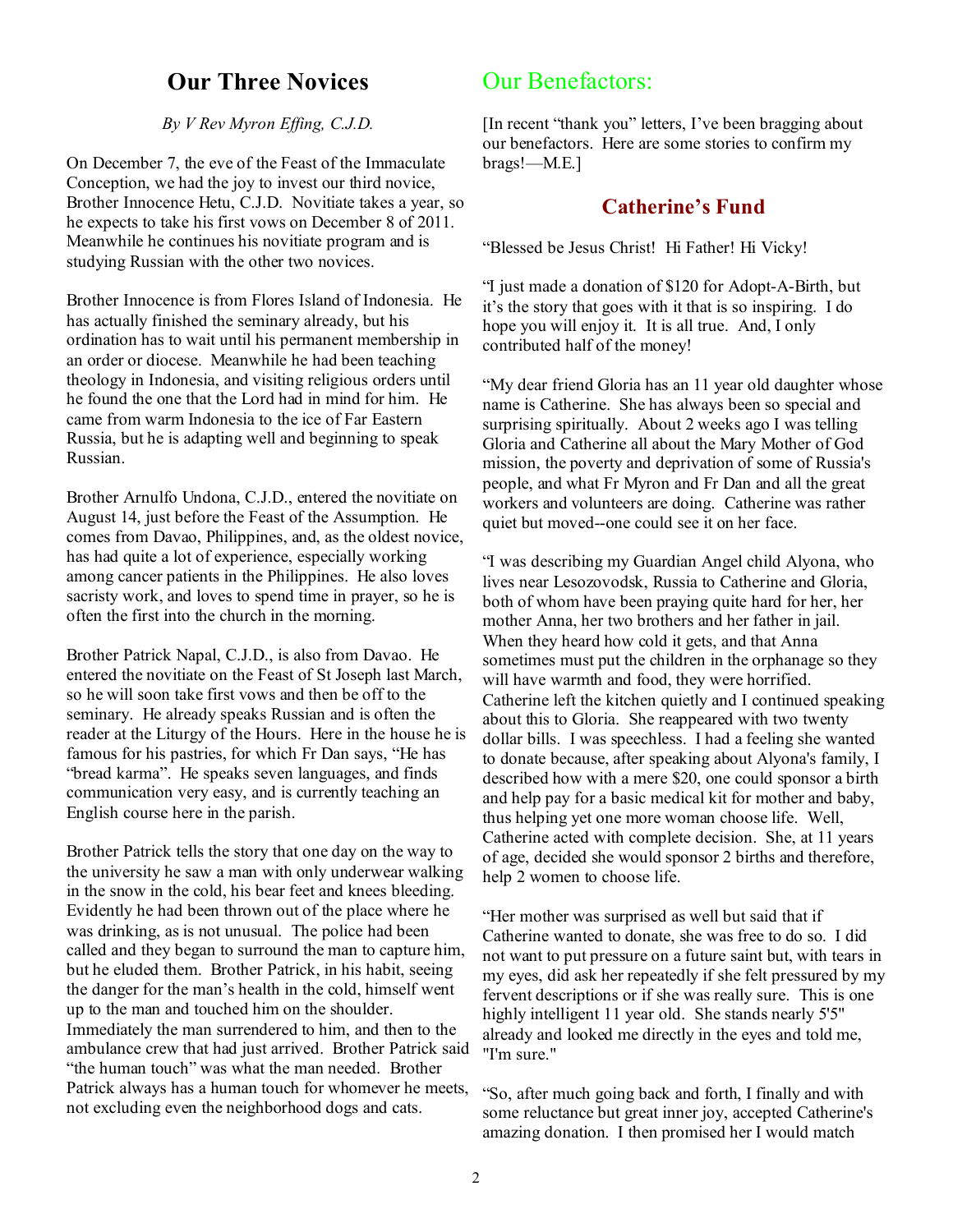## **Our Three Novices**

*By V Rev Myron Effing, C.J.D.* 

On December 7, the eve of the Feast of the Immaculate Conception, we had the joy to invest our third novice, Brother Innocence Hetu, C.J.D. Novitiate takes a year, so he expects to take his first vows on December 8 of 2011. Meanwhile he continues his novitiate program and is studying Russian with the other two novices.

Brother Innocence is from Flores Island of Indonesia. He has actually finished the seminary already, but his ordination has to wait until his permanent membership in an order or diocese. Meanwhile he had been teaching theology in Indonesia, and visiting religious orders until he found the one that the Lord had in mind for him. He came from warm Indonesia to the ice of Far Eastern Russia, but he is adapting well and beginning to speak Russian.

Brother Arnulfo Undona, C.J.D., entered the novitiate on August 14, just before the Feast of the Assumption. He comes from Davao, Philippines, and, as the oldest novice, has had quite a lot of experience, especially working among cancer patients in the Philippines. He also loves sacristy work, and loves to spend time in prayer, so he is often the first into the church in the morning.

Brother Patrick Napal, C.J.D., is also from Davao. He entered the novitiate on the Feast of St Joseph last March, so he will soon take first vows and then be off to the seminary. He already speaks Russian and is often the reader at the Liturgy of the Hours. Here in the house he is famous for his pastries, for which Fr Dan says, "He has "bread karma". He speaks seven languages, and finds communication very easy, and is currently teaching an English course here in the parish.

Brother Patrick tells the story that one day on the way to the university he saw a man with only underwear walking in the snow in the cold, his bear feet and knees bleeding. Evidently he had been thrown out of the place where he was drinking, as is not unusual. The police had been called and they began to surround the man to capture him, but he eluded them. Brother Patrick, in his habit, seeing the danger for the man's health in the cold, himself went up to the man and touched him on the shoulder. Immediately the man surrendered to him, and then to the ambulance crew that had just arrived. Brother Patrick said "the human touch" was what the man needed. Brother Patrick always has a human touch for whomever he meets, not excluding even the neighborhood dogs and cats.

## Our Benefactors:

[In recent "thank you" letters, I've been bragging about our benefactors. Here are some stories to confirm my brags!—M.E.]

#### **Catherine's Fund**

"Blessed be Jesus Christ! Hi Father! Hi Vicky!

"I just made a donation of \$120 for Adopt-A-Birth, but it's the story that goes with it that is so inspiring. I do hope you will enjoy it. It is all true. And, I only contributed half of the money!

"My dear friend Gloria has an 11 year old daughter whose name is Catherine. She has always been so special and surprising spiritually. About 2 weeks ago I was telling Gloria and Catherine all about the Mary Mother of God mission, the poverty and deprivation of some of Russia's people, and what Fr Myron and Fr Dan and all the great workers and volunteers are doing. Catherine was rather quiet but moved--one could see it on her face.

"I was describing my Guardian Angel child Alyona, who lives near Lesozovodsk, Russia to Catherine and Gloria, both of whom have been praying quite hard for her, her mother Anna, her two brothers and her father in jail. When they heard how cold it gets, and that Anna sometimes must put the children in the orphanage so they will have warmth and food, they were horrified. Catherine left the kitchen quietly and I continued speaking about this to Gloria. She reappeared with two twenty dollar bills. I was speechless. I had a feeling she wanted to donate because, after speaking about Alyona's family, I described how with a mere \$20, one could sponsor a birth and help pay for a basic medical kit for mother and baby, thus helping yet one more woman choose life. Well, Catherine acted with complete decision. She, at 11 years of age, decided she would sponsor 2 births and therefore, help 2 women to choose life.

"Her mother was surprised as well but said that if Catherine wanted to donate, she was free to do so. I did not want to put pressure on a future saint but, with tears in my eyes, did ask her repeatedly if she felt pressured by my fervent descriptions or if she was really sure. This is one highly intelligent 11 year old. She stands nearly 5'5" already and looked me directly in the eyes and told me, "I'm sure."

"So, after much going back and forth, I finally and with some reluctance but great inner joy, accepted Catherine's amazing donation. I then promised her I would match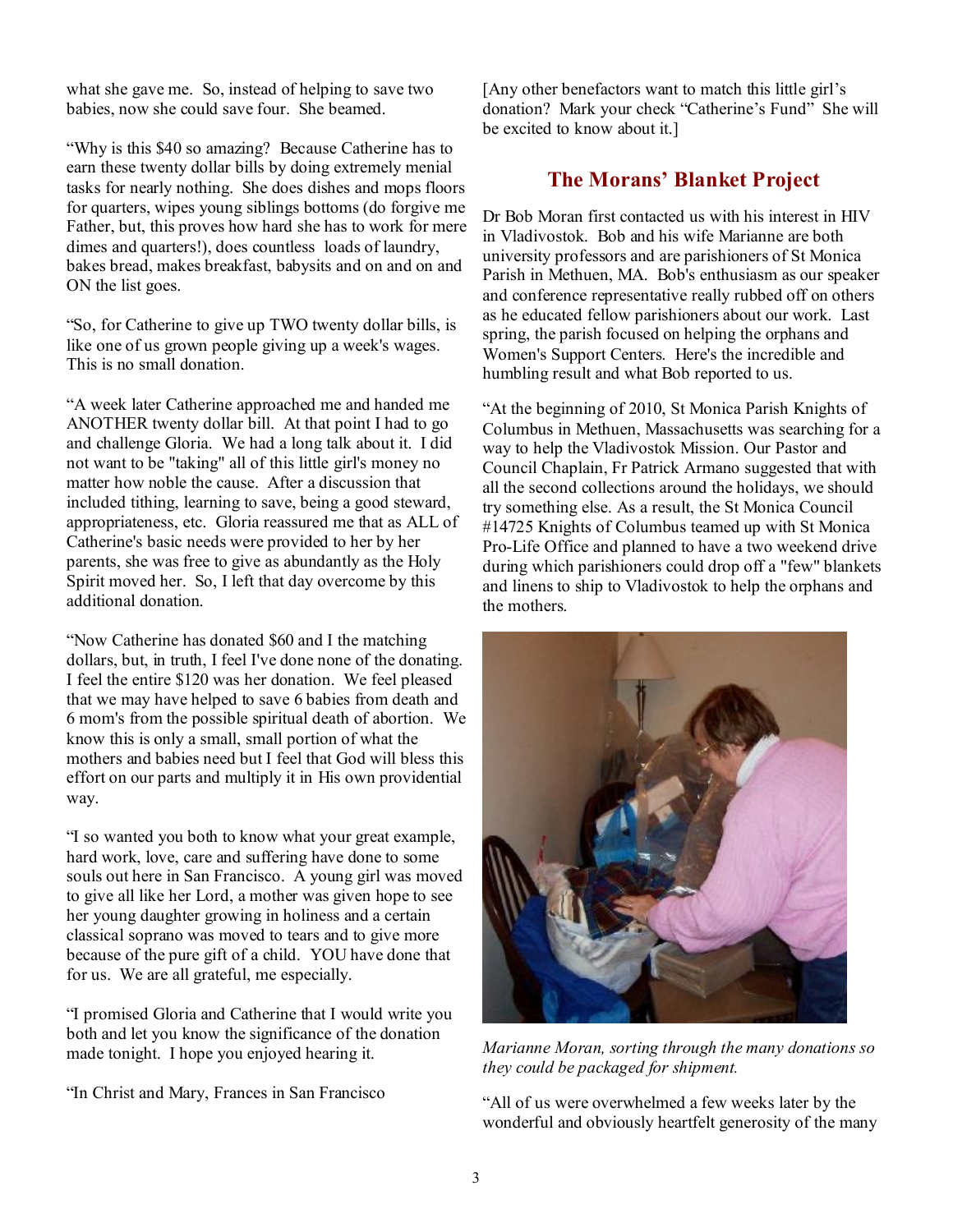what she gave me. So, instead of helping to save two babies, now she could save four. She beamed.

"Why is this \$40 so amazing? Because Catherine has to earn these twenty dollar bills by doing extremely menial tasks for nearly nothing. She does dishes and mops floors for quarters, wipes young siblings bottoms (do forgive me Father, but, this proves how hard she has to work for mere dimes and quarters!), does countless loads of laundry, bakes bread, makes breakfast, babysits and on and on and ON the list goes.

"So, for Catherine to give up TWO twenty dollar bills, is like one of us grown people giving up a week's wages. This is no small donation.

"A week later Catherine approached me and handed me ANOTHER twenty dollar bill. At that point I had to go and challenge Gloria. We had a long talk about it. I did not want to be "taking" all of this little girl's money no matter how noble the cause. After a discussion that included tithing, learning to save, being a good steward, appropriateness, etc. Gloria reassured me that as ALL of Catherine's basic needs were provided to her by her parents, she was free to give as abundantly as the Holy Spirit moved her. So, I left that day overcome by this additional donation.

"Now Catherine has donated \$60 and I the matching dollars, but, in truth, I feel I've done none of the donating. I feel the entire \$120 was her donation. We feel pleased that we may have helped to save 6 babies from death and 6 mom's from the possible spiritual death of abortion. We know this is only a small, small portion of what the mothers and babies need but I feel that God will bless this effort on our parts and multiply it in His own providential way.

"I so wanted you both to know what your great example, hard work, love, care and suffering have done to some souls out here in San Francisco. A young girl was moved to give all like her Lord, a mother was given hope to see her young daughter growing in holiness and a certain classical soprano was moved to tears and to give more because of the pure gift of a child. YOU have done that for us. We are all grateful, me especially.

"I promised Gloria and Catherine that I would write you both and let you know the significance of the donation made tonight. I hope you enjoyed hearing it.

"In Christ and Mary, Frances in San Francisco

[Any other benefactors want to match this little girl's donation? Mark your check "Catherine's Fund" She will be excited to know about it.]

#### **The Morans' Blanket Project**

Dr Bob Moran first contacted us with his interest in HIV in Vladivostok. Bob and his wife Marianne are both university professors and are parishioners of St Monica Parish in Methuen, MA. Bob's enthusiasm as our speaker and conference representative really rubbed off on others as he educated fellow parishioners about our work. Last spring, the parish focused on helping the orphans and Women's Support Centers. Here's the incredible and humbling result and what Bob reported to us.

"At the beginning of 2010, St Monica Parish Knights of Columbus in Methuen, Massachusetts was searching for a way to help the Vladivostok Mission. Our Pastor and Council Chaplain, Fr Patrick Armano suggested that with all the second collections around the holidays, we should try something else. As a result, the St Monica Council #14725 Knights of Columbus teamed up with St Monica Pro-Life Office and planned to have a two weekend drive during which parishioners could drop off a "few" blankets and linens to ship to Vladivostok to help the orphans and the mothers.



*Marianne Moran, sorting through the many donations so they could be packaged for shipment.* 

"All of us were overwhelmed a few weeks later by the wonderful and obviously heartfelt generosity of the many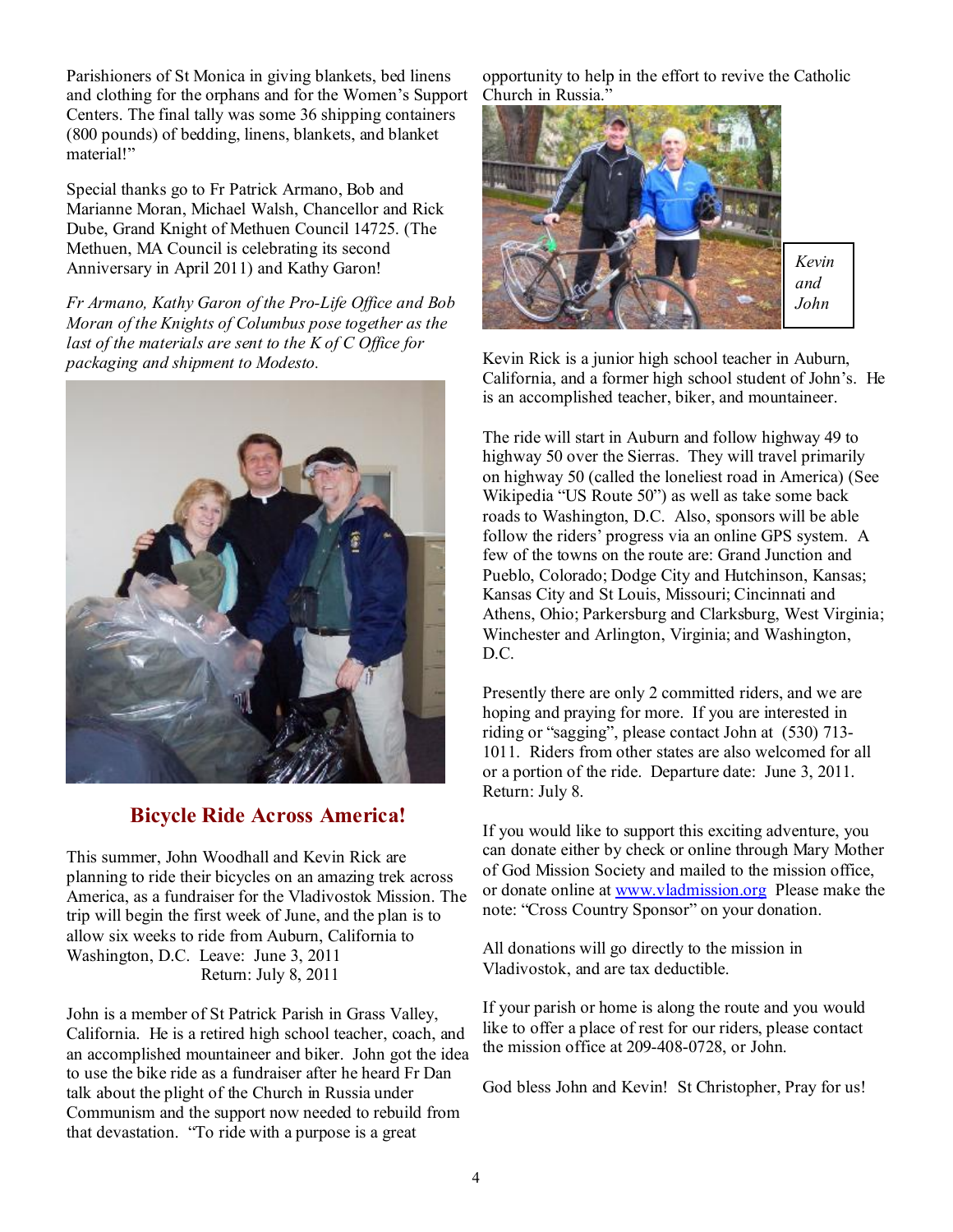Parishioners of St Monica in giving blankets, bed linens and clothing for the orphans and for the Women's Support Centers. The final tally was some 36 shipping containers (800 pounds) of bedding, linens, blankets, and blanket material!"

Special thanks go to Fr Patrick Armano, Bob and Marianne Moran, Michael Walsh, Chancellor and Rick Dube, Grand Knight of Methuen Council 14725. (The Methuen, MA Council is celebrating its second Anniversary in April 2011) and Kathy Garon!

*Fr Armano, Kathy Garon of the Pro-Life Office and Bob Moran of the Knights of Columbus pose together as the last of the materials are sent to the K of C Office for packaging and shipment to Modesto.* 



## **Bicycle Ride Across America!**

This summer, John Woodhall and Kevin Rick are planning to ride their bicycles on an amazing trek across America, as a fundraiser for the Vladivostok Mission. The trip will begin the first week of June, and the plan is to allow six weeks to ride from Auburn, California to Washington, D.C. Leave: June 3, 2011 Return: July 8, 2011

John is a member of St Patrick Parish in Grass Valley, California. He is a retired high school teacher, coach, and an accomplished mountaineer and biker. John got the idea to use the bike ride as a fundraiser after he heard Fr Dan talk about the plight of the Church in Russia under Communism and the support now needed to rebuild from that devastation. "To ride with a purpose is a great

opportunity to help in the effort to revive the Catholic Church in Russia."



Kevin Rick is a junior high school teacher in Auburn, California, and a former high school student of John's. He is an accomplished teacher, biker, and mountaineer.

The ride will start in Auburn and follow highway 49 to highway 50 over the Sierras. They will travel primarily on highway 50 (called the loneliest road in America) (See Wikipedia "US Route 50") as well as take some back roads to Washington, D.C. Also, sponsors will be able follow the riders' progress via an online GPS system. A few of the towns on the route are: Grand Junction and Pueblo, Colorado; Dodge City and Hutchinson, Kansas; Kansas City and St Louis, Missouri; Cincinnati and Athens, Ohio; Parkersburg and Clarksburg, West Virginia; Winchester and Arlington, Virginia; and Washington, D.C.

Presently there are only 2 committed riders, and we are hoping and praying for more. If you are interested in riding or "sagging", please contact John at (530) 713- 1011. Riders from other states are also welcomed for all or a portion of the ride. Departure date: June 3, 2011. Return: July 8.

If you would like to support this exciting adventure, you can donate either by check or online through Mary Mother of God Mission Society and mailed to the mission office, or donate online at [www.vladmission.org](http://www.vladmission.org) Please make the note: "Cross Country Sponsor" on your donation.

All donations will go directly to the mission in Vladivostok, and are tax deductible.

If your parish or home is along the route and you would like to offer a place of rest for our riders, please contact the mission office at 209-408-0728, or John.

God bless John and Kevin! St Christopher, Pray for us!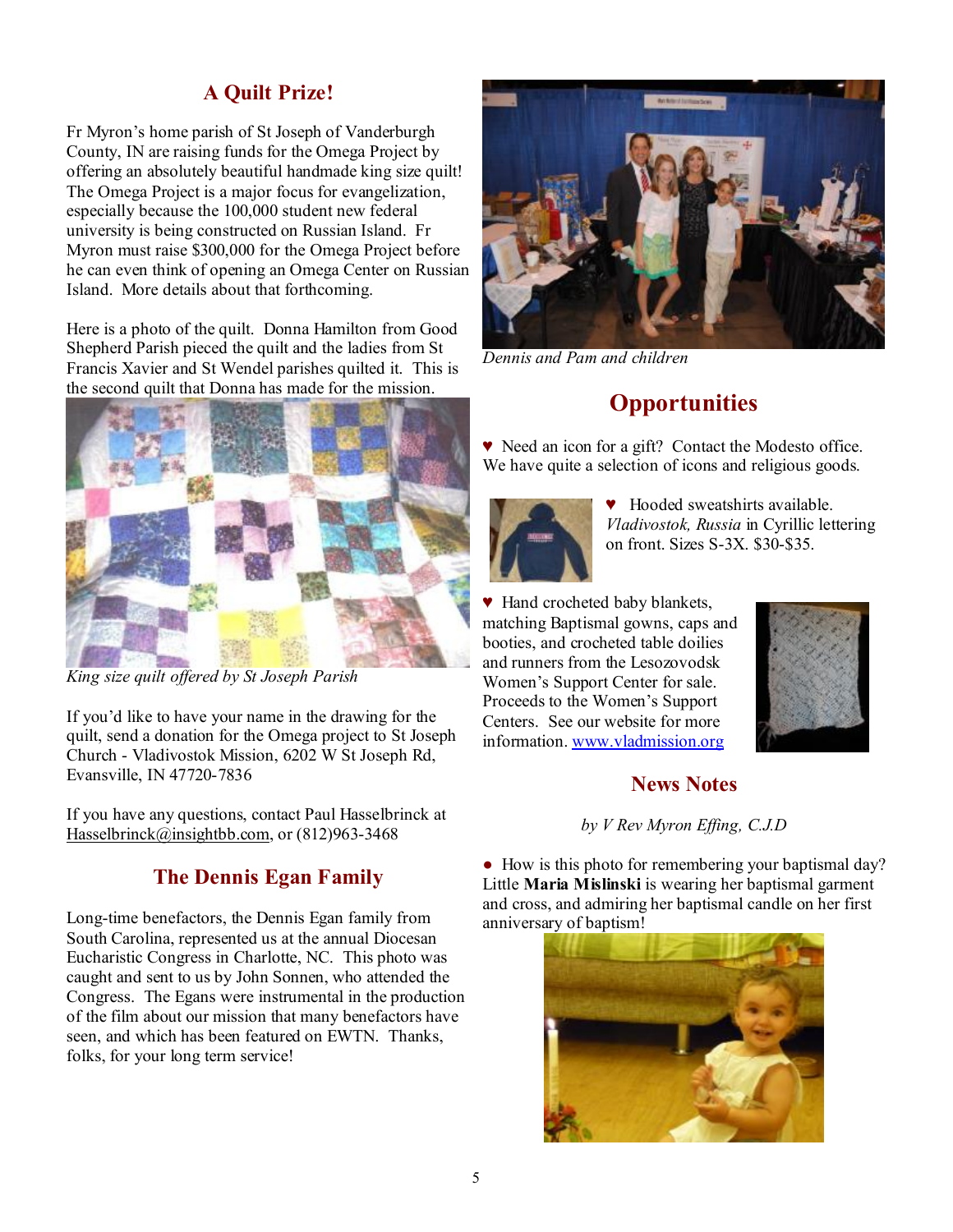#### **A Quilt Prize!**

Fr Myron's home parish of St Joseph of Vanderburgh County, IN are raising funds for the Omega Project by offering an absolutely beautiful handmade king size quilt! The Omega Project is a major focus for evangelization, especially because the 100,000 student new federal university is being constructed on Russian Island. Fr Myron must raise \$300,000 for the Omega Project before he can even think of opening an Omega Center on Russian Island. More details about that forthcoming.

Here is a photo of the quilt. Donna Hamilton from Good Shepherd Parish pieced the quilt and the ladies from St Francis Xavier and St Wendel parishes quilted it. This is the second quilt that Donna has made for the mission.



*King size quilt offered by St Joseph Parish* 

If you'd like to have your name in the drawing for the quilt, send a donation for the Omega project to St Joseph Church - Vladivostok Mission, 6202 W St Joseph Rd, Evansville, IN 47720-7836

If you have any questions, contact Paul Hasselbrinck at [Hasselbrinck@insightbb.com](mailto:Hasselbrinck@insightbb.com), or (812)963-3468

#### **The Dennis Egan Family**

Long-time benefactors, the Dennis Egan family from South Carolina, represented us at the annual Diocesan Eucharistic Congress in Charlotte, NC. This photo was caught and sent to us by John Sonnen, who attended the Congress. The Egans were instrumental in the production of the film about our mission that many benefactors have seen, and which has been featured on EWTN. Thanks, folks, for your long term service!



*Dennis and Pam and children* 

# **Opportunities**

♥ Need an icon for a gift? Contact the Modesto office. We have quite a selection of icons and religious goods.



Hooded sweatshirts available. *Vladivostok, Russia* in Cyrillic lettering on front. Sizes S-3X. \$30-\$35.

♥ Hand crocheted baby blankets, matching Baptismal gowns, caps and booties, and crocheted table doilies and runners from the Lesozovodsk Women's Support Center for sale. Proceeds to the Women's Support Centers. See our website for more information. [www.vladmission.org](http://www.vladmission.org)



#### **News Notes**

*by V Rev Myron Effing, C.J.D* 

• How is this photo for remembering your baptismal day? Little **Maria Mislinski** is wearing her baptismal garment and cross, and admiring her baptismal candle on her first anniversary of baptism!

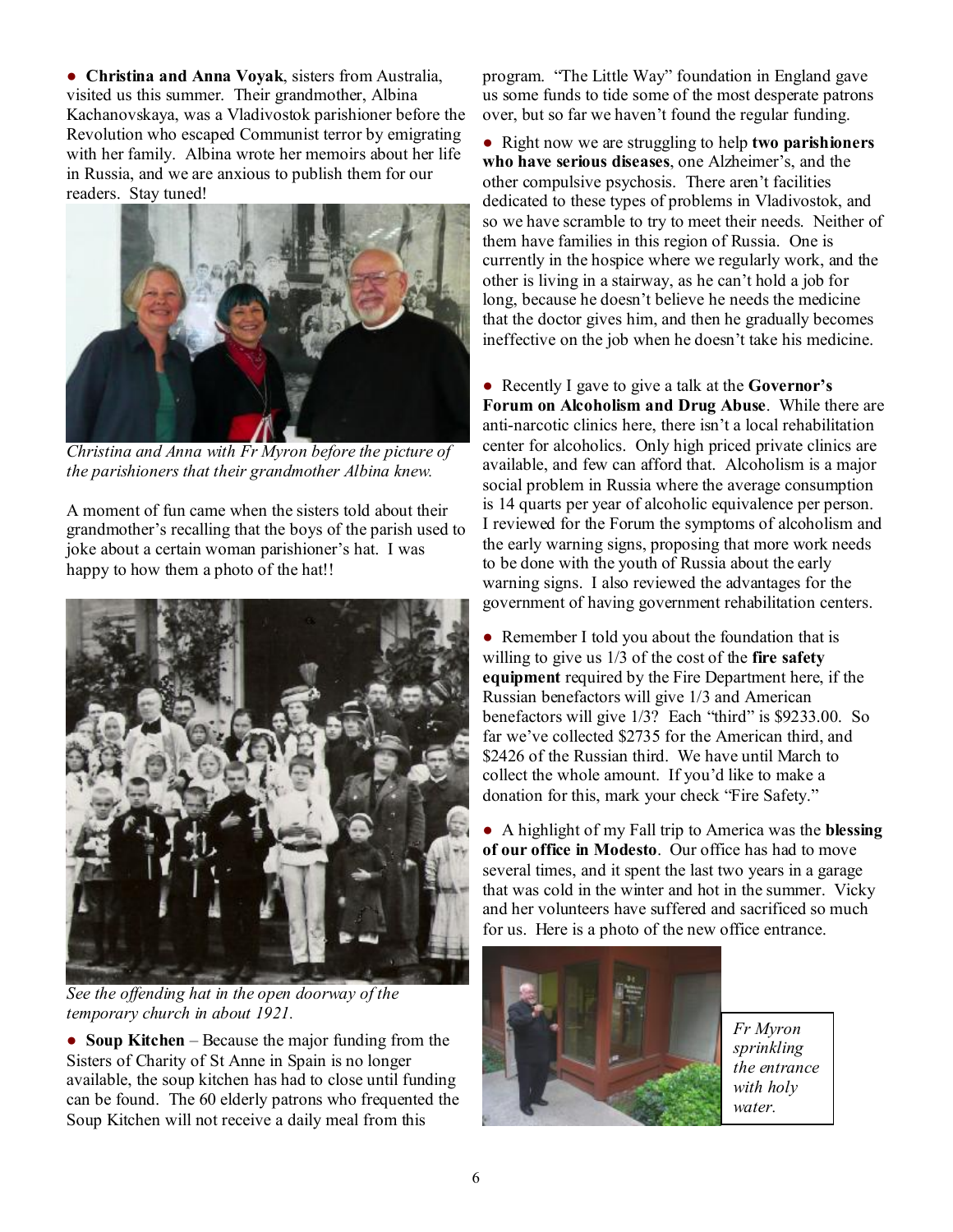● **Christina and Anna Voyak**, sisters from Australia, visited us this summer. Their grandmother, Albina Kachanovskaya, was a Vladivostok parishioner before the Revolution who escaped Communist terror by emigrating with her family. Albina wrote her memoirs about her life in Russia, and we are anxious to publish them for our readers. Stay tuned!



*Christina and Anna with Fr Myron before the picture of the parishioners that their grandmother Albina knew.* 

A moment of fun came when the sisters told about their grandmother's recalling that the boys of the parish used to joke about a certain woman parishioner's hat. I was happy to how them a photo of the hat!!



*See the offending hat in the open doorway of the temporary church in about 1921.* 

● **Soup Kitchen** – Because the major funding from the Sisters of Charity of St Anne in Spain is no longer available, the soup kitchen has had to close until funding can be found. The 60 elderly patrons who frequented the Soup Kitchen will not receive a daily meal from this

program. "The Little Way" foundation in England gave us some funds to tide some of the most desperate patrons over, but so far we haven't found the regular funding.

● Right now we are struggling to help **two parishioners who have serious diseases**, one Alzheimer's, and the other compulsive psychosis. There aren't facilities dedicated to these types of problems in Vladivostok, and so we have scramble to try to meet their needs. Neither of them have families in this region of Russia. One is currently in the hospice where we regularly work, and the other is living in a stairway, as he can't hold a job for long, because he doesn't believe he needs the medicine that the doctor gives him, and then he gradually becomes ineffective on the job when he doesn't take his medicine.

● Recently I gave to give a talk at the **Governor's Forum on Alcoholism and Drug Abuse**. While there are anti-narcotic clinics here, there isn't a local rehabilitation center for alcoholics. Only high priced private clinics are available, and few can afford that. Alcoholism is a major social problem in Russia where the average consumption is 14 quarts per year of alcoholic equivalence per person. I reviewed for the Forum the symptoms of alcoholism and the early warning signs, proposing that more work needs to be done with the youth of Russia about the early warning signs. I also reviewed the advantages for the government of having government rehabilitation centers.

• Remember I told you about the foundation that is willing to give us 1/3 of the cost of the **fire safety equipment** required by the Fire Department here, if the Russian benefactors will give 1/3 and American benefactors will give 1/3? Each "third" is \$9233.00. So far we've collected \$2735 for the American third, and \$2426 of the Russian third. We have until March to collect the whole amount. If you'd like to make a donation for this, mark your check "Fire Safety."

● A highlight of my Fall trip to America was the **blessing of our office in Modesto**. Our office has had to move several times, and it spent the last two years in a garage that was cold in the winter and hot in the summer. Vicky and her volunteers have suffered and sacrificed so much for us. Here is a photo of the new office entrance.



*Fr Myron sprinkling the entrance with holy water.*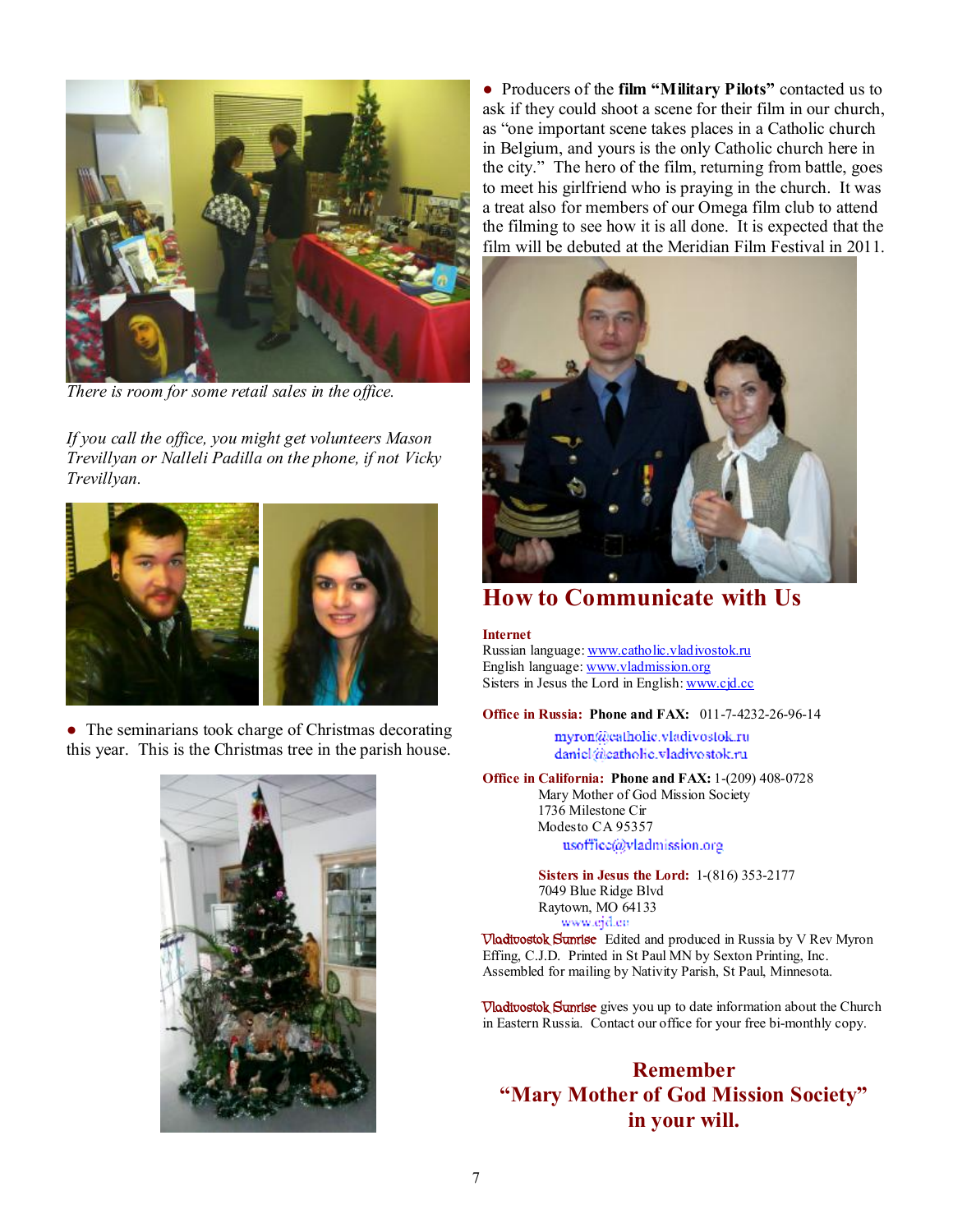

*There is room for some retail sales in the office.* 

*If you call the office, you might get volunteers Mason Trevillyan or Nalleli Padilla on the phone, if not Vicky Trevillyan.* 



• The seminarians took charge of Christmas decorating this year. This is the Christmas tree in the parish house.



● Producers of the **film "Military Pilots"** contacted us to ask if they could shoot a scene for their film in our church, as "one important scene takes places in a Catholic church in Belgium, and yours is the only Catholic church here in the city." The hero of the film, returning from battle, goes to meet his girlfriend who is praying in the church. It was a treat also for members of our Omega film club to attend the filming to see how it is all done. It is expected that the film will be debuted at the Meridian Film Festival in 2011.



**How to Communicate with Us** 

**Internet** Russian language: [www.catholic.vladivostok.ru](http://www.catholic.vladivostok.ru) English language: [www.vladmission.org](http://www.vladmission.org) Sisters in Jesus the Lord in English: [www.cjd.cc](http://www.cjd.cc)

**Office in Russia: Phone and FAX:** 011-7-4232-26-96-14

myron@catholic.vladivostok.ru daniel@eatholic.vladivostok.ru

**Office in California: Phone and FAX:** 1-(209) 408-0728 Mary Mother of God Mission Society 1736 Milestone Cir Modesto CA 95357

usoffice@vladmission.org

**Sisters in Jesus the Lord:** 1-(816) 353-2177 7049 Blue Ridge Blvd Raytown, MO 64133<br>www.cjd.cu

*Www.gra.en*<br> **Vladivostok Sunrise** Edited and produced in Russia by V Rev Myron Effing, C.J.D. Printed in St Paul MN by Sexton Printing, Inc. Assembled for mailing by Nativity Parish, St Paul, Minnesota.

**Vladivostok Sunrise** gives you up to date information about the Church in Eastern Russia. Contact our office for your free bi-monthly copy.

#### **Remember "Mary Mother of God Mission Society" in your will.**